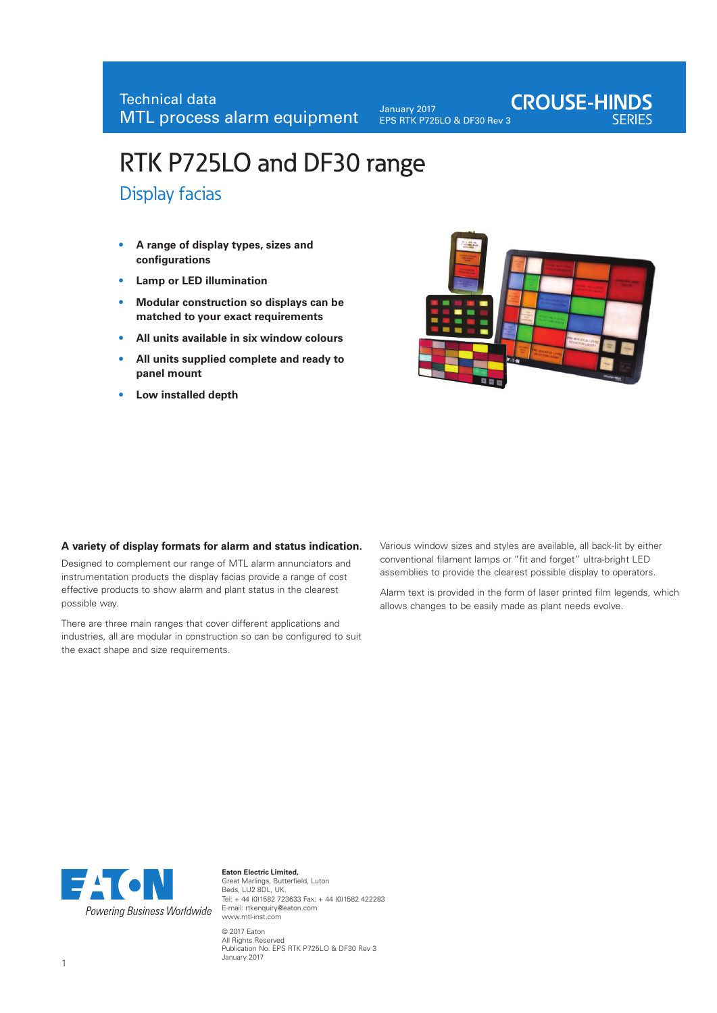January 2017 EPS RTK P725LO & DF30 Rev 3

# **CROUSE-HINDS**

# RTK P725LO and DF30 range

Display facias

- **• A range of display types, sizes and configurations**
- **• Lamp or LED illumination**
- **Modular construction so displays can be matched to your exact requirements**
- **• All units available in six window colours**
- **• All units supplied complete and ready to panel mount**
- **• Low installed depth**



#### **A variety of display formats for alarm and status indication.**

Designed to complement our range of MTL alarm annunciators and instrumentation products the display facias provide a range of cost effective products to show alarm and plant status in the clearest possible way.

There are three main ranges that cover different applications and industries, all are modular in construction so can be configured to suit the exact shape and size requirements.

Various window sizes and styles are available, all back-lit by either conventional filament lamps or "fit and forget" ultra-bright LED assemblies to provide the clearest possible display to operators.

Alarm text is provided in the form of laser printed film legends, which allows changes to be easily made as plant needs evolve.



**Eaton Electric Limited,**  Great Marlings, Butterfield, Luton Beds, LU2 8DL, UK. Tel: + 44 (0)1582 723633 Fax: + 44 (0)1582 422283 E-mail: rtkenquiry@eaton.com www.mtl-inst.com © 2017 Eaton All Rights Reserved Publication No. EPS RTK P725LO & DF30 Rev 3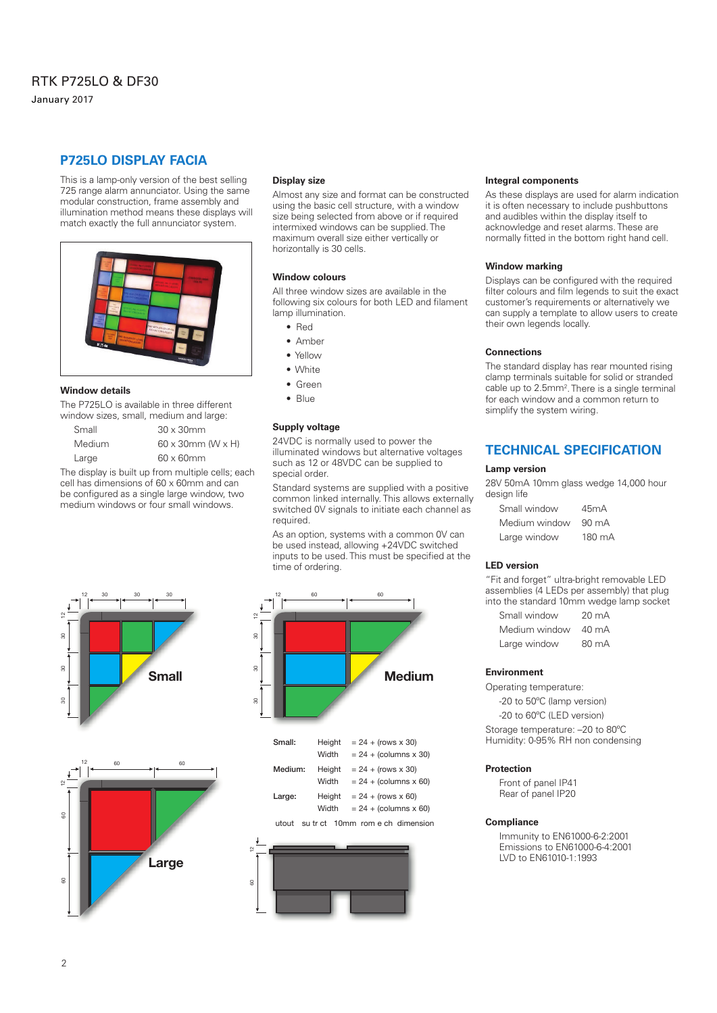# RTK P725LO & DF30 January 2017

This is a lamp-only version of the best selling 725 range alarm annunciator. Using the same modular construction, frame assembly and illumination method means these displays will match exactly the full annunciator system.



#### **Window details**

The P725LO is available in three different window sizes, small, medium and large:

| Small  | $30 \times 30$ mm                |
|--------|----------------------------------|
| Medium | $60 \times 30$ mm (W $\times$ H) |
| Large  | $60 \times 60$ mm                |

The display is built up from multiple cells; each cell has dimensions of 60 x 60mm and can be configured as a single large window, two medium windows or four small windows.





#### **Display size**

Almost any size and format can be constructed using the basic cell structure, with a window size being selected from above or if required intermixed windows can be supplied. The maximum overall size either vertically or horizontally is 30 cells.

#### **Window colours**

All three window sizes are available in the following six colours for both LED and filament lamp illumination.

- Red
- Amber
- Yellow
- White
- Green
- Blue

#### **Supply voltage**

24VDC is normally used to power the illuminated windows but alternative voltages such as 12 or 48VDC can be supplied to special order.

Standard systems are supplied with a positive common linked internally. This allows externally switched 0V signals to initiate each channel as required.

As an option, systems with a common 0V can be used instead, allowing +24VDC switched inputs to be used. This must be specified at the time of ordering.





#### **Integral components**

As these displays are used for alarm indication it is often necessary to include pushbuttons and audibles within the display itself to acknowledge and reset alarms. These are normally fitted in the bottom right hand cell.

#### **Window marking**

Displays can be configured with the required filter colours and film legends to suit the exact customer's requirements or alternatively we can supply a template to allow users to create their own legends locally.

#### **Connections**

The standard display has rear mounted rising clamp terminals suitable for solid or stranded cable up to 2.5mm<sup>2</sup>. There is a single terminal for each window and a common return to simplify the system wiring.

# **TECHNICAL SPECIFICATION**

### **Lamp version**

28V 50mA 10mm glass wedge 14,000 hour design life

| Small window  | 45mA            |
|---------------|-----------------|
| Medium window | $90 \text{ mA}$ |
| Large window  | 180 mA          |

#### **LED version**

"Fit and forget" ultra-bright removable LED assemblies (4 LEDs per assembly) that plug into the standard 10mm wedge lamp socket

| Small window  | 20 mA           |
|---------------|-----------------|
| Medium window | $40 \text{ mA}$ |
| Large window  | $80 \text{ mA}$ |

#### **Environment**

Operating temperature:

-20 to 50ºC (lamp version)

-20 to 60ºC (LED version)

Storage temperature: –20 to 80ºC Humidity: 0-95% RH non condensing

#### **Protection**

Front of panel IP41 Rear of panel IP20

#### **Compliance**

Immunity to EN61000-6-2:2001 Emissions to EN61000-6-4:2001 LVD to EN61010-1:1993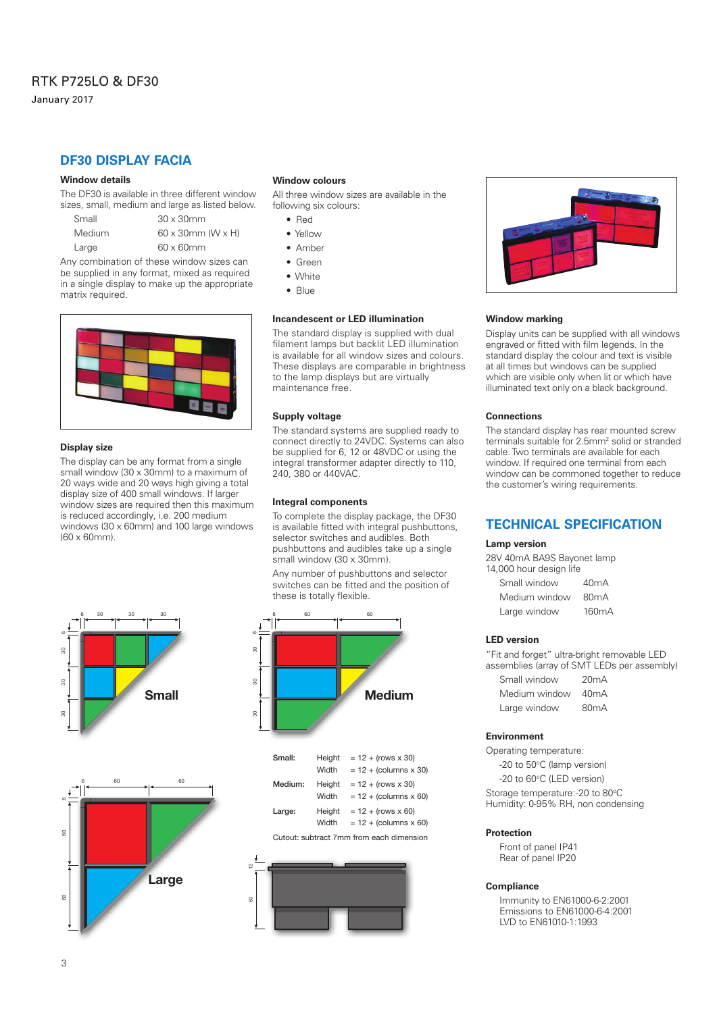January 2017

# **DF30 DISPLAY FACIA**

#### **Window details**

The DF30 is available in three different window sizes, small, medium and large as listed below.

| Small  | $30 \times 30$ mm                |
|--------|----------------------------------|
| Medium | $60 \times 30$ mm (W $\times$ H) |
| Large  | $60 \times 60$ mm                |

Any combination of these window sizes can be supplied in any format, mixed as required in a single display to make up the appropriate matrix required.



#### **Display size**

The display can be any format from a single small window (30 x 30mm) to a maximum of 20 ways wide and 20 ways high giving a total display size of 400 small windows. If larger window sizes are required then this maximum is reduced accordingly, i.e. 200 medium windows (30 x 60mm) and 100 large windows (60 x 60mm).





#### **Window colours**

All three window sizes are available in the following six colours:

- Red
- Yellow
- Amber
- Green
- White
- Blue

#### **Incandescent or LED illumination**

The standard display is supplied with dual filament lamps but backlit LED illumination is available for all window sizes and colours. These displays are comparable in brightness to the lamp displays but are virtually maintenance free.

#### **Supply voltage**

The standard systems are supplied ready to connect directly to 24VDC. Systems can also be supplied for 6, 12 or 48VDC or using the integral transformer adapter directly to 110, 240, 380 or 440VAC.

#### **Integral components**

To complete the display package, the DF30 is available fitted with integral pushbuttons, selector switches and audibles. Both pushbuttons and audibles take up a single small window (30 x 30mm).

Any number of pushbuttons and selector switches can be fitted and the position of these is totally flexible.



| $= 12 + (rows x 30)$<br>Height        |
|---------------------------------------|
| Width<br>$= 12 + (columns x 30)$      |
| $= 12 + (rows x 30)$<br>Height        |
| Width<br>$= 12 + (columns \times 60)$ |
| $= 12 + (rows x 60)$<br>Height        |
| $= 12 + (columns \times 60)$<br>Width |
|                                       |

Cutout: subtract 7mm from each dimension





#### **Window marking**

Display units can be supplied with all windows engraved or fitted with film legends. In the standard display the colour and text is visible at all times but windows can be supplied which are visible only when lit or which have illuminated text only on a black background.

#### **Connections**

The standard display has rear mounted screw terminals suitable for 2.5mm<sup>2</sup> solid or stranded cable. Two terminals are available for each window. If required one terminal from each window can be commoned together to reduce the customer's wiring requirements.

## **TECHNICAL SPECIFICATION**

#### **Lamp version**

28V 40mA BA9S Bayonet lamp 14,000 hour design life

| Small window  | 40mA               |
|---------------|--------------------|
| Medium window | 80mA               |
| Large window  | 160 <sub>m</sub> A |

#### **LED version**

"Fit and forget" ultra-bright removable LED assemblies (array of SMT LEDs per assembly)

| Small window  | 20mA |
|---------------|------|
| Medium window | 40mA |
| Large window  | 80mA |

#### **Environment**

Operating temperature:

-20 to 50°C (lamp version)

-20 to 60°C (LED version)

Storage temperature:-20 to 80°C

Humidity: 0-95% RH, non condensing

#### **Protection**

Front of panel IP41 Rear of panel IP20

#### **Compliance**

Immunity to EN61000-6-2:2001 Emissions to EN61000-6-4:2001 LVD to EN61010-1:1993